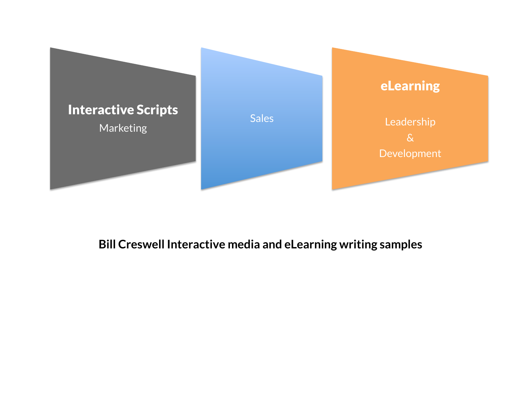

## **Bill Creswell Interactive media and eLearning writing samples**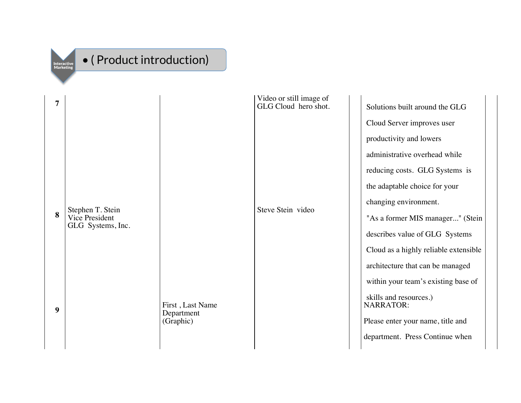

## • ( Product introduction)

| $\overline{7}$ |                                                                              |                         | Video or still image of<br>GLG Cloud hero shot. |                       | Solutions built around the GLG             |
|----------------|------------------------------------------------------------------------------|-------------------------|-------------------------------------------------|-----------------------|--------------------------------------------|
|                |                                                                              |                         |                                                 |                       | Cloud Server improves user                 |
|                |                                                                              |                         |                                                 |                       | productivity and lowers                    |
|                |                                                                              |                         |                                                 |                       | administrative overhead while              |
|                |                                                                              |                         |                                                 |                       | reducing costs. GLG Systems is             |
|                |                                                                              |                         |                                                 |                       | the adaptable choice for your              |
|                | Steve Stein video<br>Stephen T. Stein<br>Vice President<br>GLG Systems, Inc. |                         |                                                 | changing environment. |                                            |
| 8              |                                                                              |                         |                                                 |                       | "As a former MIS manager" (Stein           |
|                |                                                                              |                         |                                                 |                       | describes value of GLG Systems             |
|                |                                                                              |                         |                                                 |                       | Cloud as a highly reliable extensible      |
|                |                                                                              |                         |                                                 |                       | architecture that can be managed           |
|                |                                                                              |                         |                                                 |                       | within your team's existing base of        |
| 9              |                                                                              | First, Last Name        |                                                 |                       | skills and resources.)<br><b>NARRATOR:</b> |
|                |                                                                              | Department<br>(Graphic) |                                                 |                       | Please enter your name, title and          |
|                |                                                                              |                         |                                                 |                       | department. Press Continue when            |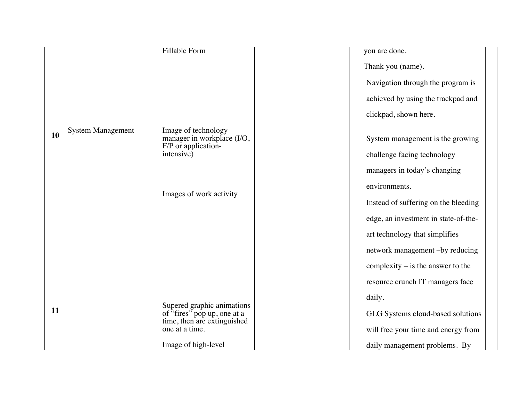|           |                          | Fillable Form                                                                            | you are done.                        |
|-----------|--------------------------|------------------------------------------------------------------------------------------|--------------------------------------|
|           |                          |                                                                                          | Thank you (name).                    |
|           |                          |                                                                                          | Navigation through the program is    |
|           |                          |                                                                                          | achieved by using the trackpad and   |
|           |                          |                                                                                          | clickpad, shown here.                |
| <b>10</b> | <b>System Management</b> | Image of technology<br>manager in workplace (I/O,                                        | System management is the growing     |
|           |                          | F/P or application-<br>intensive)                                                        | challenge facing technology          |
|           |                          |                                                                                          | managers in today's changing         |
|           |                          |                                                                                          | environments.                        |
|           |                          | Images of work activity                                                                  | Instead of suffering on the bleeding |
|           |                          |                                                                                          | edge, an investment in state-of-the- |
|           |                          |                                                                                          | art technology that simplifies       |
|           |                          |                                                                                          | network management -by reducing      |
|           |                          |                                                                                          | complexity $-$ is the answer to the  |
|           |                          |                                                                                          | resource crunch IT managers face     |
|           |                          |                                                                                          | daily.                               |
| 11        |                          | Supered graphic animations<br>of "fires" pop up, one at a<br>time, then are extinguished | GLG Systems cloud-based solutions    |
|           |                          | one at a time.                                                                           | will free your time and energy from  |
|           |                          | Image of high-level                                                                      | daily management problems. By        |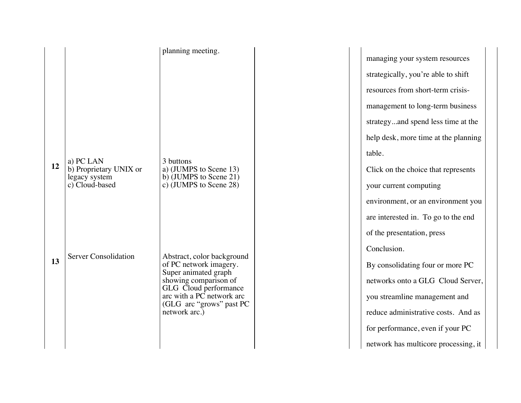|    |                                         | planning meeting.                                  |  |
|----|-----------------------------------------|----------------------------------------------------|--|
|    |                                         |                                                    |  |
|    |                                         |                                                    |  |
|    |                                         |                                                    |  |
|    |                                         |                                                    |  |
|    |                                         |                                                    |  |
|    |                                         |                                                    |  |
|    |                                         |                                                    |  |
|    | a) PC LAN                               | 3 buttons                                          |  |
| 12 | b) Proprietary UNIX or<br>legacy system | a) (JUMPS to Scene 13)<br>b) (JUMPS to Scene 21)   |  |
|    | c) Cloud-based                          | c) (JUMPS to Scene 28)                             |  |
|    |                                         |                                                    |  |
|    |                                         |                                                    |  |
|    |                                         |                                                    |  |
|    |                                         |                                                    |  |
|    | <b>Server Consolidation</b>             | Abstract, color background                         |  |
| 13 |                                         | of PC network imagery.<br>Super animated graph     |  |
|    |                                         | showing comparison of                              |  |
|    |                                         | GLG Cloud performance<br>arc with a PC network arc |  |
|    |                                         | (GLG arc "grows" past PC<br>network arc.)          |  |
|    |                                         |                                                    |  |
|    |                                         |                                                    |  |
|    |                                         |                                                    |  |

managing your system resources strategically, you're able to shift resources from short-term crisismanagement to long-term business strategy...and spend less time at the help desk, more time at the planning table.

Click on the choice that represents your current computing environment, or an environment you are interested in. To go to the end of the presentation, press Conclusion. By consolidating four or more PC networks onto a GLG Cloud Server, you streamline management and reduce administrative costs. And as for performance, even if your PC network has multicore processing, it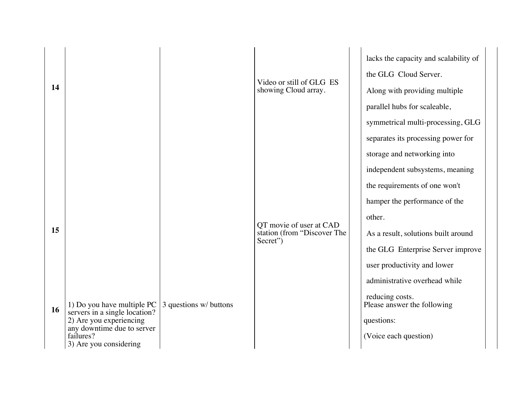| 14 |                                                                                                                                                             |                        | Video or still of GLG ES<br>showing Cloud array.                   | lacks the capacity and scalability of<br>the GLG Cloud Server.<br>Along with providing multiple<br>parallel hubs for scaleable,                                                                                                                                                                                                                                   |
|----|-------------------------------------------------------------------------------------------------------------------------------------------------------------|------------------------|--------------------------------------------------------------------|-------------------------------------------------------------------------------------------------------------------------------------------------------------------------------------------------------------------------------------------------------------------------------------------------------------------------------------------------------------------|
| 15 |                                                                                                                                                             |                        | QT movie of user at CAD<br>station (from "Discover The<br>Secret") | symmetrical multi-processing, GLG<br>separates its processing power for<br>storage and networking into<br>independent subsystems, meaning<br>the requirements of one won't<br>hamper the performance of the<br>other.<br>As a result, solutions built around<br>the GLG Enterprise Server improve<br>user productivity and lower<br>administrative overhead while |
| 16 | 1) Do you have multiple PC<br>servers in a single location?<br>2) Are you experiencing<br>any downtime due to server<br>failures?<br>3) Are you considering | 3 questions w/ buttons |                                                                    | reducing costs.<br>Please answer the following<br>questions:<br>(Voice each question)                                                                                                                                                                                                                                                                             |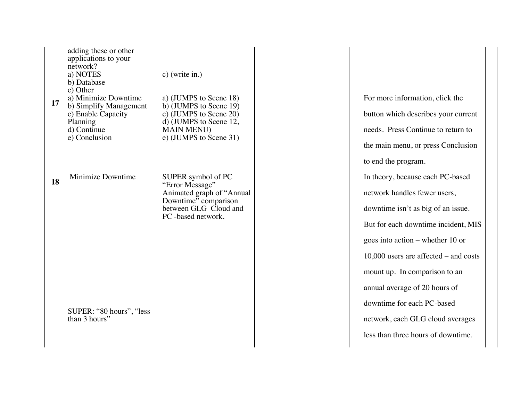| 17 | adding these or other<br>applications to your<br>network?<br>a) NOTES<br>b) Database<br>c) Other<br>a) Minimize Downtime<br>b) Simplify Management<br>c) Enable Capacity<br>Planning<br>d) Continue<br>e) Conclusion | c) (write in.)<br>a) (JUMPS to Scene 18)<br>b) (JUMPS to Scene 19)<br>c) (JUMPS to Scene 20)<br>d) (JUMPS to Scene 12,<br><b>MAIN MENU)</b><br>e) (JUMPS to Scene 31) | For more information, click the<br>button which describes your current<br>needs. Press Continue to return to<br>the main menu, or press Conclusion |
|----|----------------------------------------------------------------------------------------------------------------------------------------------------------------------------------------------------------------------|-----------------------------------------------------------------------------------------------------------------------------------------------------------------------|----------------------------------------------------------------------------------------------------------------------------------------------------|
| 18 | Minimize Downtime                                                                                                                                                                                                    | SUPER symbol of PC                                                                                                                                                    | to end the program.<br>In theory, because each PC-based                                                                                            |
|    |                                                                                                                                                                                                                      | "Error Message"<br>Animated graph of "Annual<br>Downtime" comparison<br>between GLG Cloud and<br>PC-based network.                                                    | network handles fewer users,<br>downtime isn't as big of an issue.                                                                                 |
|    |                                                                                                                                                                                                                      |                                                                                                                                                                       | But for each downtime incident, MIS                                                                                                                |
|    |                                                                                                                                                                                                                      |                                                                                                                                                                       | goes into action – whether 10 or                                                                                                                   |
|    |                                                                                                                                                                                                                      |                                                                                                                                                                       | $10,000$ users are affected – and costs                                                                                                            |
|    |                                                                                                                                                                                                                      |                                                                                                                                                                       | mount up. In comparison to an                                                                                                                      |
|    |                                                                                                                                                                                                                      |                                                                                                                                                                       | annual average of 20 hours of                                                                                                                      |
|    | SUPER: "80 hours", "less                                                                                                                                                                                             |                                                                                                                                                                       | downtime for each PC-based                                                                                                                         |
|    | than 3 hours"                                                                                                                                                                                                        |                                                                                                                                                                       | network, each GLG cloud averages                                                                                                                   |
|    |                                                                                                                                                                                                                      |                                                                                                                                                                       | less than three hours of downtime.                                                                                                                 |
|    |                                                                                                                                                                                                                      |                                                                                                                                                                       |                                                                                                                                                    |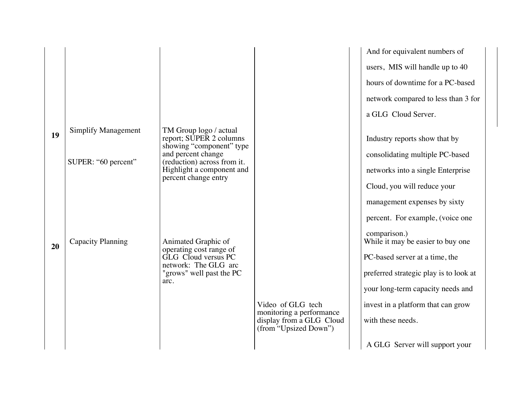|    |                            |                                                                               |                                                   | And for equivalent numbers of                     |
|----|----------------------------|-------------------------------------------------------------------------------|---------------------------------------------------|---------------------------------------------------|
|    |                            |                                                                               |                                                   | users, MIS will handle up to 40                   |
|    |                            |                                                                               |                                                   | hours of downtime for a PC-based                  |
|    |                            |                                                                               |                                                   | network compared to less than 3 for               |
|    |                            |                                                                               |                                                   | a GLG Cloud Server.                               |
| 19 | <b>Simplify Management</b> | TM Group logo / actual<br>report; SUPER 2 columns<br>showing "component" type |                                                   | Industry reports show that by                     |
|    | SUPER: "60 percent"        | and percent change<br>(reduction) across from it.                             |                                                   | consolidating multiple PC-based                   |
|    |                            | Highlight a component and<br>percent change entry                             |                                                   | networks into a single Enterprise                 |
|    |                            |                                                                               |                                                   | Cloud, you will reduce your                       |
|    |                            |                                                                               |                                                   | management expenses by sixty                      |
|    |                            |                                                                               |                                                   | percent. For example, (voice one                  |
| 20 | <b>Capacity Planning</b>   | Animated Graphic of<br>operating cost range of                                |                                                   | comparison.)<br>While it may be easier to buy one |
|    |                            | GLG Cloud versus PC<br>network: The GLG arc                                   |                                                   | PC-based server at a time, the                    |
|    |                            | "grows" well past the PC<br>arc.                                              |                                                   | preferred strategic play is to look at            |
|    |                            |                                                                               |                                                   | your long-term capacity needs and                 |
|    |                            |                                                                               | Video of GLG tech<br>monitoring a performance     | invest in a platform that can grow                |
|    |                            |                                                                               | display from a GLG Cloud<br>(from "Upsized Down") | with these needs.                                 |
|    |                            |                                                                               |                                                   | A GLG Server will support your                    |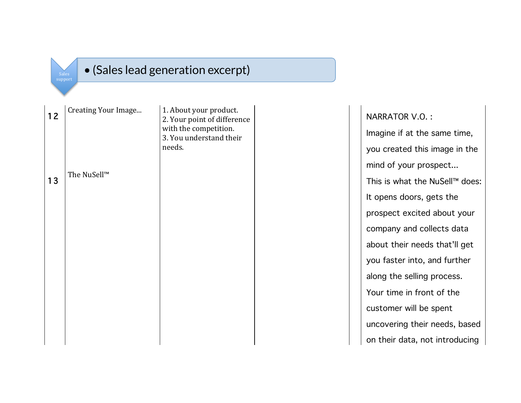| (Sales lead generation excerpt)<br><b>Sales</b><br>support |                     |                                                                                                                     |  |  |  |  |  |
|------------------------------------------------------------|---------------------|---------------------------------------------------------------------------------------------------------------------|--|--|--|--|--|
|                                                            |                     |                                                                                                                     |  |  |  |  |  |
| 12                                                         | Creating Your Image | 1. About your product.<br>2. Your point of difference<br>with the competition.<br>3. You understand their<br>needs. |  |  |  |  |  |
| 13                                                         | The NuSell™         |                                                                                                                     |  |  |  |  |  |
|                                                            |                     |                                                                                                                     |  |  |  |  |  |

 $(c<sub>abs</sub> | \cos \theta < \cos \theta)$ 

NARRATOR V.O. : Imagine if at the same time, you created this image in the mind of your prospect... This is what the NuSell™ does: It opens doors, gets the prospect excited about your company and collects data about their needs that'll get you faster into, and further along the selling process. Your time in front of the customer will be spent uncovering their needs, based on their data, not introducing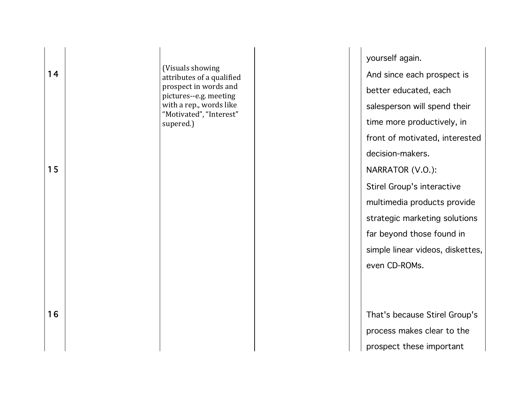| 14<br>15 | (Visuals showing)<br>attributes of a qualified<br>prospect in words and<br>pictures--e.g. meeting<br>with a rep., words like<br>"Motivated", "Interest"<br>supered.) | yourself again.<br>And since each prospect is<br>better educated, each<br>salesperson will spend their<br>time more productively, in<br>front of motivated, interested<br>decision-makers.<br>NARRATOR (V.O.):<br>Stirel Group's interactive<br>multimedia products provide<br>strategic marketing solutions<br>far beyond those found in<br>simple linear videos, diskettes,<br>even CD-ROMs. |
|----------|----------------------------------------------------------------------------------------------------------------------------------------------------------------------|------------------------------------------------------------------------------------------------------------------------------------------------------------------------------------------------------------------------------------------------------------------------------------------------------------------------------------------------------------------------------------------------|
| 16       |                                                                                                                                                                      | That's because Stirel Group's<br>process makes clear to the<br>prospect these important                                                                                                                                                                                                                                                                                                        |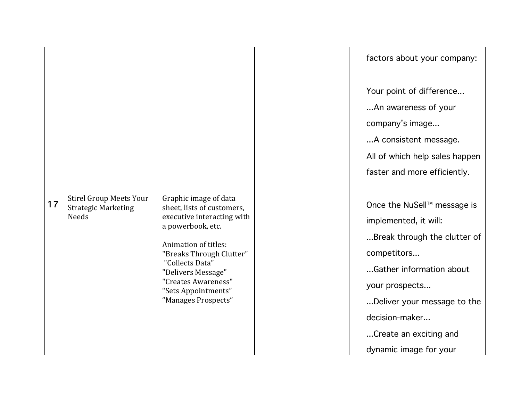|    |                                                                       |                                                                                                                                                                                                                                                                          | factors about your company:                                                                                                                                                                                                                                                                                                                        |
|----|-----------------------------------------------------------------------|--------------------------------------------------------------------------------------------------------------------------------------------------------------------------------------------------------------------------------------------------------------------------|----------------------------------------------------------------------------------------------------------------------------------------------------------------------------------------------------------------------------------------------------------------------------------------------------------------------------------------------------|
| 17 | <b>Stirel Group Meets Your</b><br><b>Strategic Marketing</b><br>Needs | Graphic image of data<br>sheet, lists of customers,<br>executive interacting with<br>a powerbook, etc.<br>Animation of titles:<br>"Breaks Through Clutter"<br>"Collects Data"<br>"Delivers Message"<br>"Creates Awareness"<br>"Sets Appointments"<br>"Manages Prospects" | Your point of difference<br>An awareness of your<br>company's image<br>A consistent message.<br>All of which help sales happen<br>faster and more efficiently.<br>Once the NuSell™ message is<br>implemented, it will:<br>Break through the clutter of<br>competitors<br>Gather information about<br>your prospects<br>Deliver your message to the |
|    |                                                                       |                                                                                                                                                                                                                                                                          | decision-maker<br>Create an exciting and<br>dynamic image for your                                                                                                                                                                                                                                                                                 |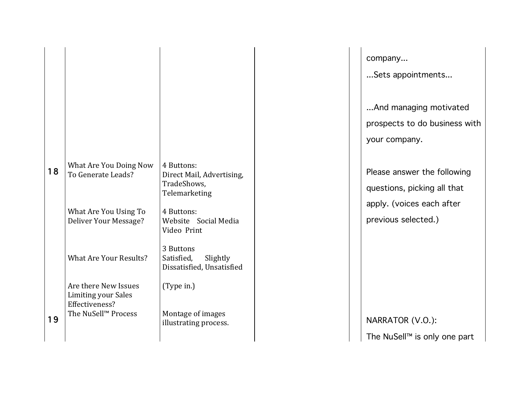|    |                                                    |                                                                         | company                                   |
|----|----------------------------------------------------|-------------------------------------------------------------------------|-------------------------------------------|
|    |                                                    |                                                                         | Sets appo                                 |
|    |                                                    |                                                                         |                                           |
|    |                                                    |                                                                         | And mana                                  |
|    |                                                    |                                                                         | prospects t                               |
|    |                                                    |                                                                         | your compa                                |
| 18 | What Are You Doing Now<br>To Generate Leads?       | 4 Buttons:<br>Direct Mail, Advertising,<br>TradeShows,<br>Telemarketing | Please ansv<br>questions,<br>apply. (void |
|    | What Are You Using To<br>Deliver Your Message?     | 4 Buttons:<br>Website Social Media<br>Video Print                       | previous se                               |
|    | <b>What Are Your Results?</b>                      | 3 Buttons<br>Satisfied,<br>Slightly<br>Dissatisfied, Unsatisfied        |                                           |
|    | Are there New Issues<br><b>Limiting your Sales</b> | (Type in.)                                                              |                                           |
| 19 | Effectiveness?<br>The NuSell <sup>™</sup> Process  | Montage of images<br>illustrating process.                              | <b>NARRATOR</b>                           |
|    |                                                    |                                                                         | The NuSell <sup>T</sup>                   |

ppointments...

nanaging motivated ts to do business with mpany.

inswer the following ns, picking all that voices each after selected.)

 $\overline{OR}$  (V.O.): The NuSell™ is only one part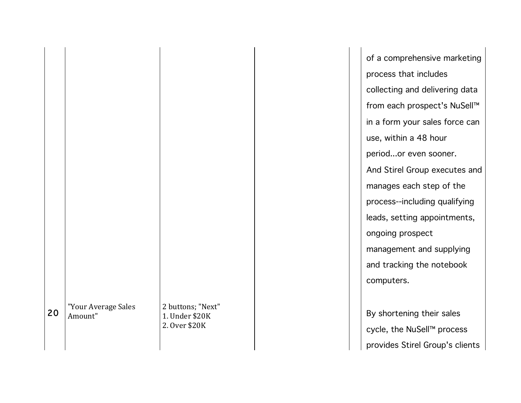|    |                     |                                 | of a comprehensive marketing<br>process that includes |
|----|---------------------|---------------------------------|-------------------------------------------------------|
|    |                     |                                 | collecting and delivering data                        |
|    |                     |                                 | from each prospect's NuSell™                          |
|    |                     |                                 | in a form your sales force can                        |
|    |                     |                                 | use, within a 48 hour                                 |
|    |                     |                                 | periodor even sooner.                                 |
|    |                     |                                 | And Stirel Group executes and                         |
|    |                     |                                 | manages each step of the                              |
|    |                     |                                 | process--including qualifying                         |
|    |                     |                                 | leads, setting appointments,                          |
|    |                     |                                 | ongoing prospect                                      |
|    |                     |                                 | management and supplying                              |
|    |                     |                                 | and tracking the notebook                             |
|    |                     |                                 | computers.                                            |
|    | "Your Average Sales | 2 buttons; "Next"               |                                                       |
| 20 | Amount"             | 1. Under \$20K<br>2. Over \$20K | By shortening their sales                             |
|    |                     |                                 | cycle, the NuSell™ process                            |
|    |                     |                                 | provides Stirel Group's clients                       |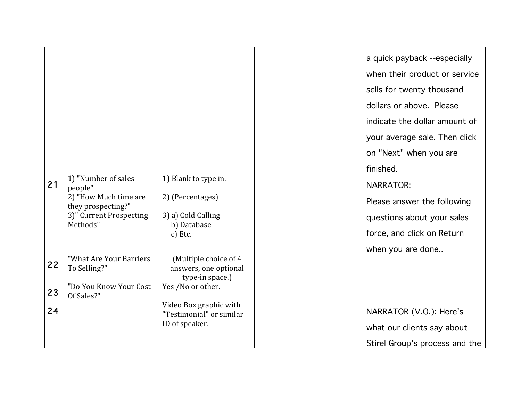| 21 | 1) "Number of sales<br>people"<br>2) "How Much time are<br>they prospecting?"<br>3)" Current Prospecting<br>Methods" | 1) Blank to type in.<br>2) (Percentages)<br>3) a) Cold Calling<br>b) Database<br>c) Etc. |
|----|----------------------------------------------------------------------------------------------------------------------|------------------------------------------------------------------------------------------|
| 22 | "What Are Your Barriers<br>To Selling?"                                                                              | (Multiple choice of 4<br>answers, one optional<br>type-in space.)                        |
| 23 | "Do You Know Your Cost<br>Of Sales?"                                                                                 | Yes /No or other.                                                                        |
| 24 |                                                                                                                      | Video Box graphic with<br>"Testimonial" or similar<br>ID of speaker.                     |
|    |                                                                                                                      |                                                                                          |

a quick payback --especially when their product or service sells for twenty thousand dollars or above. Please indicate the dollar amount of your average sale. Then click on "Next" when you are finished. NARRATOR: Please answer the following questions about your sales force, and click on Return when you are done..

NARRATOR (V.O.): Here's what our clients say about Stirel Group's process and the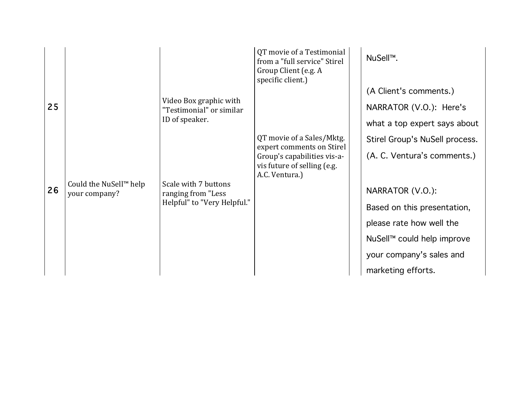| 25 |                                                     | Video Box graphic with<br>"Testimonial" or similar<br>ID of speaker. | QT movie of a Testimonial<br>from a "full service" Stirel<br>Group Client (e.g. A<br>specific client.)                                 | NuSell <sup>™</sup> .<br>(A Client's comments.)<br>NARRATOR (V.O.): Here's<br>what a top expert says about                            |
|----|-----------------------------------------------------|----------------------------------------------------------------------|----------------------------------------------------------------------------------------------------------------------------------------|---------------------------------------------------------------------------------------------------------------------------------------|
|    | Could the NuSell <sup>™</sup> help<br>your company? | Scale with 7 buttons                                                 | QT movie of a Sales/Mktg.<br>expert comments on Stirel<br>Group's capabilities vis-a-<br>vis future of selling (e.g.<br>A.C. Ventura.) | Stirel Group's NuSell process.<br>(A. C. Ventura's comments.)                                                                         |
| 26 |                                                     | ranging from "Less<br>Helpful" to "Very Helpful."                    |                                                                                                                                        | NARRATOR (V.O.):<br>Based on this presentation,<br>please rate how well the<br>NuSell™ could help improve<br>your company's sales and |
|    |                                                     |                                                                      |                                                                                                                                        | marketing efforts.                                                                                                                    |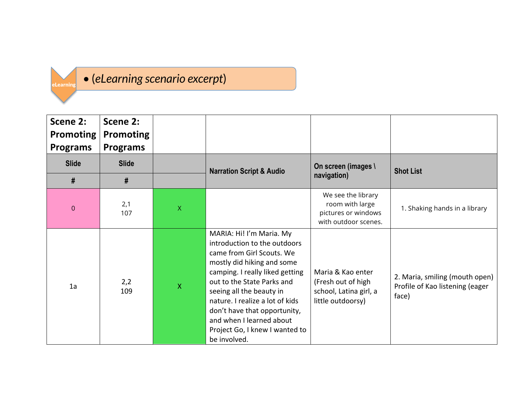## eLearning

• (*eLearning scenario excerpt*)

| Scene 2:<br><b>Promoting</b><br><b>Programs</b> | Scene 2:<br><b>Promoting</b><br><b>Programs</b> |              |                                                                                                                                                                                                                                                                                                                                                                   |                                                                                        |                                                                            |
|-------------------------------------------------|-------------------------------------------------|--------------|-------------------------------------------------------------------------------------------------------------------------------------------------------------------------------------------------------------------------------------------------------------------------------------------------------------------------------------------------------------------|----------------------------------------------------------------------------------------|----------------------------------------------------------------------------|
| <b>Slide</b>                                    | <b>Slide</b>                                    |              | <b>Narration Script &amp; Audio</b>                                                                                                                                                                                                                                                                                                                               | On screen (images \                                                                    | <b>Shot List</b>                                                           |
| #                                               | #                                               |              |                                                                                                                                                                                                                                                                                                                                                                   | navigation)                                                                            |                                                                            |
| $\theta$                                        | 2,1<br>107                                      | $\mathsf{X}$ |                                                                                                                                                                                                                                                                                                                                                                   | We see the library<br>room with large<br>pictures or windows<br>with outdoor scenes.   | 1. Shaking hands in a library                                              |
| 1a                                              | 2,2<br>109                                      | X            | MARIA: Hi! I'm Maria. My<br>introduction to the outdoors<br>came from Girl Scouts. We<br>mostly did hiking and some<br>camping. I really liked getting<br>out to the State Parks and<br>seeing all the beauty in<br>nature. I realize a lot of kids<br>don't have that opportunity,<br>and when I learned about<br>Project Go, I knew I wanted to<br>be involved. | Maria & Kao enter<br>(Fresh out of high<br>school, Latina girl, a<br>little outdoorsy) | 2. Maria, smiling (mouth open)<br>Profile of Kao listening (eager<br>face) |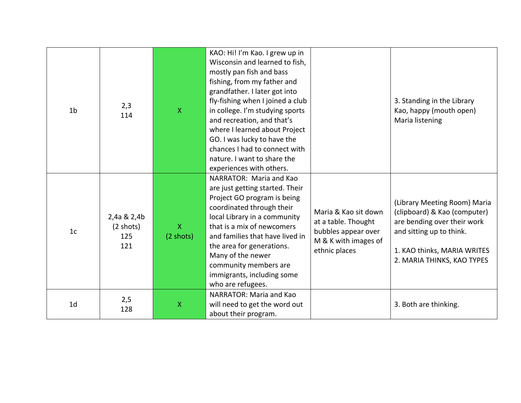| 1 <sub>b</sub> | 2,3<br>114                                       | $\mathsf{X}$                        | KAO: Hi! I'm Kao. I grew up in<br>Wisconsin and learned to fish,<br>mostly pan fish and bass<br>fishing, from my father and<br>grandfather. I later got into<br>fly-fishing when I joined a club<br>in college. I'm studying sports<br>and recreation, and that's<br>where I learned about Project<br>GO. I was lucky to have the<br>chances I had to connect with<br>nature. I want to share the<br>experiences with others. |                                                                                                             | 3. Standing in the Library<br>Kao, happy (mouth open)<br>Maria listening                                                                                                             |
|----------------|--------------------------------------------------|-------------------------------------|-------------------------------------------------------------------------------------------------------------------------------------------------------------------------------------------------------------------------------------------------------------------------------------------------------------------------------------------------------------------------------------------------------------------------------|-------------------------------------------------------------------------------------------------------------|--------------------------------------------------------------------------------------------------------------------------------------------------------------------------------------|
| 1 <sub>c</sub> | 2,4a & 2,4b<br>$(2 \text{ shots})$<br>125<br>121 | $\mathsf{X}$<br>$(2 \text{ shots})$ | NARRATOR: Maria and Kao<br>are just getting started. Their<br>Project GO program is being<br>coordinated through their<br>local Library in a community<br>that is a mix of newcomers<br>and families that have lived in<br>the area for generations.<br>Many of the newer<br>community members are<br>immigrants, including some<br>who are refugees.                                                                         | Maria & Kao sit down<br>at a table. Thought<br>bubbles appear over<br>M & K with images of<br>ethnic places | (Library Meeting Room) Maria<br>(clipboard) & Kao (computer)<br>are bending over their work<br>and sitting up to think.<br>1. KAO thinks, MARIA WRITES<br>2. MARIA THINKS, KAO TYPES |
| 1 <sub>d</sub> | 2,5<br>128                                       | $\mathsf{X}$                        | NARRATOR: Maria and Kao<br>will need to get the word out<br>about their program.                                                                                                                                                                                                                                                                                                                                              |                                                                                                             | 3. Both are thinking.                                                                                                                                                                |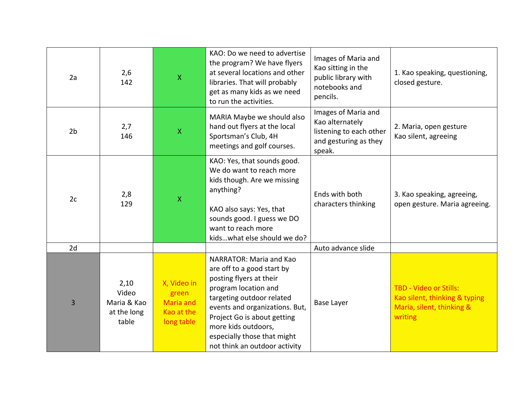| 2a             | 2,6<br>142                                           | $\mathsf{X}$                                                         | KAO: Do we need to advertise<br>the program? We have flyers<br>at several locations and other<br>libraries. That will probably<br>get as many kids as we need<br>to run the activities.                                                                                                       | Images of Maria and<br>Kao sitting in the<br>public library with<br>notebooks and<br>pencils.        | 1. Kao speaking, questioning,<br>closed gesture.                                                       |
|----------------|------------------------------------------------------|----------------------------------------------------------------------|-----------------------------------------------------------------------------------------------------------------------------------------------------------------------------------------------------------------------------------------------------------------------------------------------|------------------------------------------------------------------------------------------------------|--------------------------------------------------------------------------------------------------------|
| 2 <sub>b</sub> | 2,7<br>146                                           | $\mathsf X$                                                          | MARIA Maybe we should also<br>hand out flyers at the local<br>Sportsman's Club, 4H<br>meetings and golf courses.                                                                                                                                                                              | Images of Maria and<br>Kao alternately<br>listening to each other<br>and gesturing as they<br>speak. | 2. Maria, open gesture<br>Kao silent, agreeing                                                         |
| 2c             | 2,8<br>129                                           | $\mathsf{X}$                                                         | KAO: Yes, that sounds good.<br>We do want to reach more<br>kids though. Are we missing<br>anything?<br>KAO also says: Yes, that<br>sounds good. I guess we DO<br>want to reach more<br>kidswhat else should we do?                                                                            | Ends with both<br>characters thinking                                                                | 3. Kao speaking, agreeing,<br>open gesture. Maria agreeing.                                            |
| 2d             |                                                      |                                                                      |                                                                                                                                                                                                                                                                                               | Auto advance slide                                                                                   |                                                                                                        |
| 3              | 2,10<br>Video<br>Maria & Kao<br>at the long<br>table | X, Video in<br>green<br><b>Maria and</b><br>Kao at the<br>long table | NARRATOR: Maria and Kao<br>are off to a good start by<br>posting flyers at their<br>program location and<br>targeting outdoor related<br>events and organizations. But,<br>Project Go is about getting<br>more kids outdoors,<br>especially those that might<br>not think an outdoor activity | Base Layer                                                                                           | <b>TBD - Video or Stills:</b><br>Kao silent, thinking & typing<br>Maria, silent, thinking &<br>writing |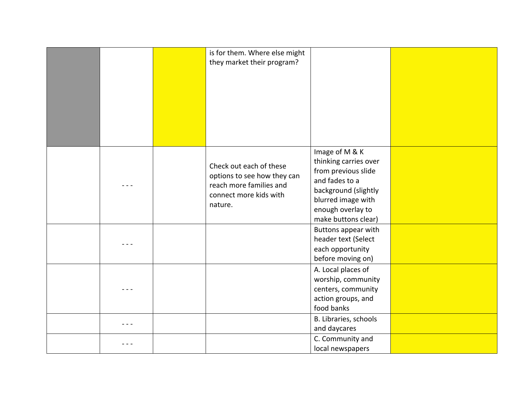|  | is for them. Where else might<br>they market their program?                                                            |                                                                                                                                                                            |  |
|--|------------------------------------------------------------------------------------------------------------------------|----------------------------------------------------------------------------------------------------------------------------------------------------------------------------|--|
|  | Check out each of these<br>options to see how they can<br>reach more families and<br>connect more kids with<br>nature. | Image of M & K<br>thinking carries over<br>from previous slide<br>and fades to a<br>background (slightly<br>blurred image with<br>enough overlay to<br>make buttons clear) |  |
|  |                                                                                                                        | Buttons appear with<br>header text (Select<br>each opportunity<br>before moving on)                                                                                        |  |
|  |                                                                                                                        | A. Local places of<br>worship, community<br>centers, community<br>action groups, and<br>food banks                                                                         |  |
|  |                                                                                                                        | B. Libraries, schools<br>and daycares                                                                                                                                      |  |
|  |                                                                                                                        | C. Community and<br>local newspapers                                                                                                                                       |  |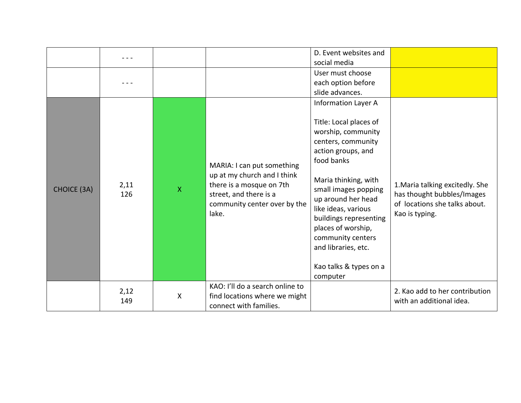|                    |             |              |                                                                                                                                                          | D. Event websites and<br>social media                                                                                                                                                                                                                                                                                                                               |                                                                                                                  |
|--------------------|-------------|--------------|----------------------------------------------------------------------------------------------------------------------------------------------------------|---------------------------------------------------------------------------------------------------------------------------------------------------------------------------------------------------------------------------------------------------------------------------------------------------------------------------------------------------------------------|------------------------------------------------------------------------------------------------------------------|
|                    |             |              |                                                                                                                                                          | User must choose<br>each option before<br>slide advances.                                                                                                                                                                                                                                                                                                           |                                                                                                                  |
| <b>CHOICE (3A)</b> | 2,11<br>126 | $\mathsf{X}$ | MARIA: I can put something<br>up at my church and I think<br>there is a mosque on 7th<br>street, and there is a<br>community center over by the<br>lake. | <b>Information Layer A</b><br>Title: Local places of<br>worship, community<br>centers, community<br>action groups, and<br>food banks<br>Maria thinking, with<br>small images popping<br>up around her head<br>like ideas, various<br>buildings representing<br>places of worship,<br>community centers<br>and libraries, etc.<br>Kao talks & types on a<br>computer | 1. Maria talking excitedly. She<br>has thought bubbles/Images<br>of locations she talks about.<br>Kao is typing. |
|                    | 2,12<br>149 | X            | KAO: I'll do a search online to<br>find locations where we might<br>connect with families.                                                               |                                                                                                                                                                                                                                                                                                                                                                     | 2. Kao add to her contribution<br>with an additional idea.                                                       |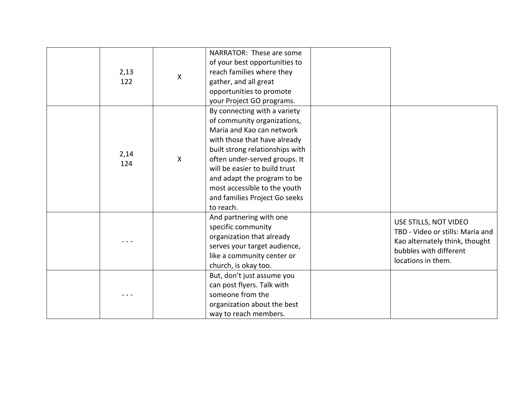| 2,13<br>122 | X            | NARRATOR: These are some<br>of your best opportunities to<br>reach families where they<br>gather, and all great<br>opportunities to promote                                                                                                                                                                                                                             |                                                                                                                                             |
|-------------|--------------|-------------------------------------------------------------------------------------------------------------------------------------------------------------------------------------------------------------------------------------------------------------------------------------------------------------------------------------------------------------------------|---------------------------------------------------------------------------------------------------------------------------------------------|
| 2,14<br>124 | $\mathsf{X}$ | your Project GO programs.<br>By connecting with a variety<br>of community organizations,<br>Maria and Kao can network<br>with those that have already<br>built strong relationships with<br>often under-served groups. It<br>will be easier to build trust<br>and adapt the program to be<br>most accessible to the youth<br>and families Project Go seeks<br>to reach. |                                                                                                                                             |
|             |              | And partnering with one<br>specific community<br>organization that already<br>serves your target audience,<br>like a community center or<br>church, is okay too.                                                                                                                                                                                                        | USE STILLS, NOT VIDEO<br>TBD - Video or stills: Maria and<br>Kao alternately think, thought<br>bubbles with different<br>locations in them. |
|             |              | But, don't just assume you<br>can post flyers. Talk with<br>someone from the<br>organization about the best<br>way to reach members.                                                                                                                                                                                                                                    |                                                                                                                                             |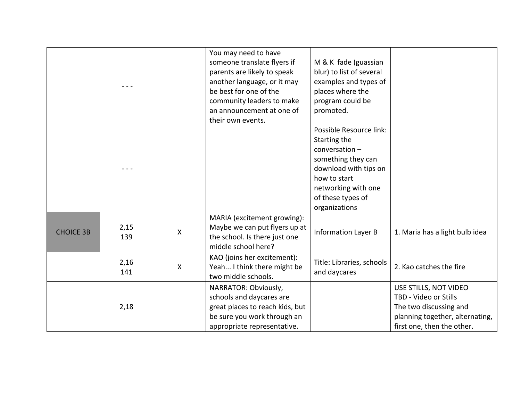|                  |             |   | You may need to have<br>someone translate flyers if<br>parents are likely to speak<br>another language, or it may<br>be best for one of the<br>community leaders to make<br>an announcement at one of<br>their own events. | M & K fade (guassian<br>blur) to list of several<br>examples and types of<br>places where the<br>program could be<br>promoted.                                                        |                                                                                                                                           |
|------------------|-------------|---|----------------------------------------------------------------------------------------------------------------------------------------------------------------------------------------------------------------------------|---------------------------------------------------------------------------------------------------------------------------------------------------------------------------------------|-------------------------------------------------------------------------------------------------------------------------------------------|
|                  |             |   |                                                                                                                                                                                                                            | Possible Resource link:<br>Starting the<br>$conversion -$<br>something they can<br>download with tips on<br>how to start<br>networking with one<br>of these types of<br>organizations |                                                                                                                                           |
| <b>CHOICE 3B</b> | 2,15<br>139 | X | MARIA (excitement growing):<br>Maybe we can put flyers up at<br>the school. Is there just one<br>middle school here?                                                                                                       | <b>Information Layer B</b>                                                                                                                                                            | 1. Maria has a light bulb idea                                                                                                            |
|                  | 2,16<br>141 | X | KAO (joins her excitement):<br>Yeah I think there might be<br>two middle schools.                                                                                                                                          | Title: Libraries, schools<br>and daycares                                                                                                                                             | 2. Kao catches the fire                                                                                                                   |
|                  | 2,18        |   | NARRATOR: Obviously,<br>schools and daycares are<br>great places to reach kids, but<br>be sure you work through an<br>appropriate representative.                                                                          |                                                                                                                                                                                       | USE STILLS, NOT VIDEO<br>TBD - Video or Stills<br>The two discussing and<br>planning together, alternating,<br>first one, then the other. |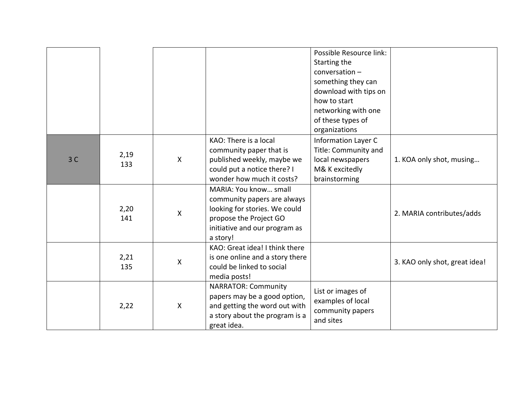|    |             |                           |                                                                                                                                                              | Possible Resource link:<br>Starting the<br>conversation-<br>something they can<br>download with tips on<br>how to start<br>networking with one<br>of these types of<br>organizations |                               |
|----|-------------|---------------------------|--------------------------------------------------------------------------------------------------------------------------------------------------------------|--------------------------------------------------------------------------------------------------------------------------------------------------------------------------------------|-------------------------------|
| 3C | 2,19<br>133 | $\mathsf{X}$              | KAO: There is a local<br>community paper that is<br>published weekly, maybe we<br>could put a notice there? I<br>wonder how much it costs?                   | <b>Information Layer C</b><br>Title: Community and<br>local newspapers<br>M& K excitedly<br>brainstorming                                                                            | 1. KOA only shot, musing      |
|    | 2,20<br>141 | $\boldsymbol{\mathsf{X}}$ | MARIA: You know small<br>community papers are always<br>looking for stories. We could<br>propose the Project GO<br>initiative and our program as<br>a story! |                                                                                                                                                                                      | 2. MARIA contributes/adds     |
|    | 2,21<br>135 | $\mathsf{X}$              | KAO: Great idea! I think there<br>is one online and a story there<br>could be linked to social<br>media posts!                                               |                                                                                                                                                                                      | 3. KAO only shot, great idea! |
|    | 2,22        | $\boldsymbol{\mathsf{X}}$ | <b>NARRATOR: Community</b><br>papers may be a good option,<br>and getting the word out with<br>a story about the program is a<br>great idea.                 | List or images of<br>examples of local<br>community papers<br>and sites                                                                                                              |                               |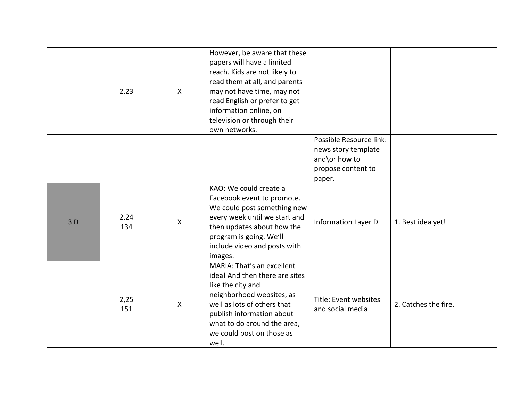|    | 2,23        | $\mathsf{X}$              | However, be aware that these<br>papers will have a limited<br>reach. Kids are not likely to<br>read them at all, and parents<br>may not have time, may not<br>read English or prefer to get<br>information online, on<br>television or through their<br>own networks. |                                                                                                 |                      |
|----|-------------|---------------------------|-----------------------------------------------------------------------------------------------------------------------------------------------------------------------------------------------------------------------------------------------------------------------|-------------------------------------------------------------------------------------------------|----------------------|
|    |             |                           |                                                                                                                                                                                                                                                                       | Possible Resource link:<br>news story template<br>and\or how to<br>propose content to<br>paper. |                      |
| 3D | 2,24<br>134 | $\mathsf{X}$              | KAO: We could create a<br>Facebook event to promote.<br>We could post something new<br>every week until we start and<br>then updates about how the<br>program is going. We'll<br>include video and posts with<br>images.                                              | <b>Information Layer D</b>                                                                      | 1. Best idea yet!    |
|    | 2,25<br>151 | $\boldsymbol{\mathsf{X}}$ | MARIA: That's an excellent<br>idea! And then there are sites<br>like the city and<br>neighborhood websites, as<br>well as lots of others that<br>publish information about<br>what to do around the area,<br>we could post on those as<br>well.                       | Title: Event websites<br>and social media                                                       | 2. Catches the fire. |